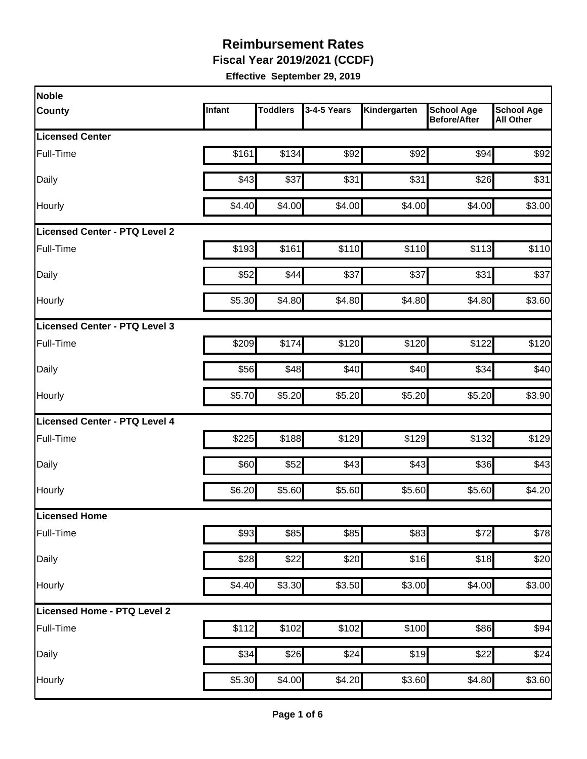**Fiscal Year 2019/2021 (CCDF)**

| Noble                                |        |                 |             |              |                                          |                                       |
|--------------------------------------|--------|-----------------|-------------|--------------|------------------------------------------|---------------------------------------|
| <b>County</b>                        | Infant | <b>Toddlers</b> | 3-4-5 Years | Kindergarten | <b>School Age</b><br><b>Before/After</b> | <b>School Age</b><br><b>All Other</b> |
| <b>Licensed Center</b>               |        |                 |             |              |                                          |                                       |
| Full-Time                            | \$161  | \$134           | \$92        | \$92         | \$94                                     | \$92                                  |
| Daily                                | \$43   | \$37            | \$31        | \$31         | \$26                                     | \$31                                  |
| Hourly                               | \$4.40 | \$4.00          | \$4.00      | \$4.00       | \$4.00                                   | \$3.00                                |
| <b>Licensed Center - PTQ Level 2</b> |        |                 |             |              |                                          |                                       |
| Full-Time                            | \$193  | \$161           | \$110       | \$110        | \$113                                    | \$110                                 |
| Daily                                | \$52   | \$44            | \$37        | \$37         | \$31                                     | \$37                                  |
| Hourly                               | \$5.30 | \$4.80          | \$4.80      | \$4.80       | \$4.80                                   | \$3.60                                |
| Licensed Center - PTQ Level 3        |        |                 |             |              |                                          |                                       |
| Full-Time                            | \$209  | \$174           | \$120       | \$120        | \$122                                    | \$120                                 |
| Daily                                | \$56   | \$48            | \$40        | \$40         | \$34                                     | \$40                                  |
| Hourly                               | \$5.70 | \$5.20          | \$5.20      | \$5.20       | \$5.20                                   | \$3.90                                |
| Licensed Center - PTQ Level 4        |        |                 |             |              |                                          |                                       |
| Full-Time                            | \$225  | \$188           | \$129       | \$129        | \$132                                    | \$129                                 |
| Daily                                | \$60   | \$52            | \$43        | \$43         | \$36                                     | \$43                                  |
| Hourly                               | \$6.20 | \$5.60          | \$5.60      | \$5.60       | \$5.60                                   | \$4.20                                |
| Licensed Home                        |        |                 |             |              |                                          |                                       |
| Full-Time                            | \$93   | \$85            | \$85        | \$83         | \$72                                     | \$78                                  |
| Daily                                | \$28   | \$22            | \$20        | \$16         | \$18                                     | \$20                                  |
| Hourly                               | \$4.40 | \$3.30          | \$3.50      | \$3.00       | \$4.00                                   | \$3.00                                |
| Licensed Home - PTQ Level 2          |        |                 |             |              |                                          |                                       |
| Full-Time                            | \$112  | \$102           | \$102       | \$100        | \$86                                     | \$94                                  |
| Daily                                | \$34   | \$26            | \$24        | \$19         | \$22                                     | \$24                                  |
| Hourly                               | \$5.30 | \$4.00          | \$4.20      | \$3.60       | \$4.80                                   | \$3.60                                |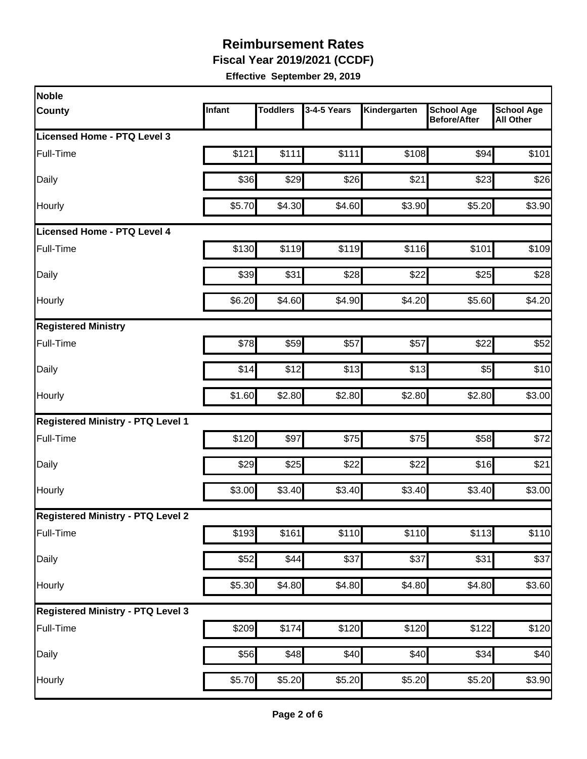**Fiscal Year 2019/2021 (CCDF)**

| Noble                                    |        |                 |             |                    |                                          |                                       |
|------------------------------------------|--------|-----------------|-------------|--------------------|------------------------------------------|---------------------------------------|
| <b>County</b>                            | Infant | <b>Toddlers</b> | 3-4-5 Years | Kindergarten       | <b>School Age</b><br><b>Before/After</b> | <b>School Age</b><br><b>All Other</b> |
| Licensed Home - PTQ Level 3              |        |                 |             |                    |                                          |                                       |
| Full-Time                                | \$121  | \$111           | \$111       | \$108              | \$94                                     | \$101                                 |
| Daily                                    | \$36   | \$29            | \$26        | \$21               | \$23                                     | \$26                                  |
| Hourly                                   | \$5.70 | \$4.30          | \$4.60      | \$3.90             | \$5.20                                   | \$3.90                                |
| Licensed Home - PTQ Level 4              |        |                 |             |                    |                                          |                                       |
| Full-Time                                | \$130  | \$119           | \$119       | \$116              | \$101                                    | \$109                                 |
| Daily                                    | \$39   | \$31            | \$28        | \$22               | \$25                                     | \$28                                  |
| Hourly                                   | \$6.20 | \$4.60          | \$4.90      | \$4.20             | \$5.60                                   | \$4.20                                |
| <b>Registered Ministry</b>               |        |                 |             |                    |                                          |                                       |
| Full-Time                                | \$78   | \$59            | \$57        | \$57               | \$22                                     | \$52                                  |
| Daily                                    | \$14   | \$12            | \$13        | \$13               | \$5                                      | \$10                                  |
| Hourly                                   | \$1.60 | \$2.80          | \$2.80      | \$2.80             | \$2.80                                   | \$3.00                                |
| <b>Registered Ministry - PTQ Level 1</b> |        |                 |             |                    |                                          |                                       |
| Full-Time                                | \$120  | \$97            | \$75        | \$75               | \$58                                     | \$72                                  |
| Daily                                    | \$29   | \$25            | \$22        | \$22               | \$16                                     | \$21                                  |
| Hourly                                   | \$3.00 | \$3.40          | \$3.40      | \$3.40             | \$3.40                                   | \$3.00                                |
| <b>Registered Ministry - PTQ Level 2</b> |        |                 |             |                    |                                          |                                       |
| Full-Time                                | \$193  | \$161           | \$110       | \$110              | $\overline{$}113$                        | \$110                                 |
| Daily                                    | \$52   | \$44            | \$37        | \$37               | \$31                                     | \$37                                  |
| Hourly                                   | \$5.30 | \$4.80          | \$4.80      | \$4.80             | \$4.80                                   | \$3.60                                |
| <b>Registered Ministry - PTQ Level 3</b> |        |                 |             |                    |                                          |                                       |
| Full-Time                                | \$209  | \$174           | \$120       | \$120              | \$122                                    | \$120                                 |
| Daily                                    | \$56   | \$48            | \$40        | \$40               | \$34                                     | \$40                                  |
| Hourly                                   | \$5.70 | \$5.20          | \$5.20      | $\overline{$}5.20$ | \$5.20                                   | \$3.90                                |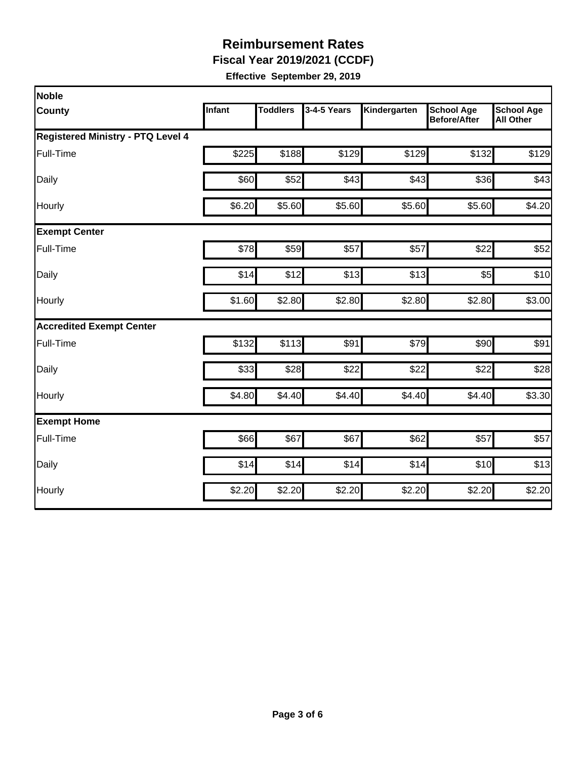**Fiscal Year 2019/2021 (CCDF)**

| <b>Noble</b>                             |               |                 |             |              |                                          |                                       |
|------------------------------------------|---------------|-----------------|-------------|--------------|------------------------------------------|---------------------------------------|
| <b>County</b>                            | <b>Infant</b> | <b>Toddlers</b> | 3-4-5 Years | Kindergarten | <b>School Age</b><br><b>Before/After</b> | <b>School Age</b><br><b>All Other</b> |
| <b>Registered Ministry - PTQ Level 4</b> |               |                 |             |              |                                          |                                       |
| Full-Time                                | \$225         | \$188           | \$129       | \$129        | \$132                                    | \$129                                 |
| Daily                                    | \$60          | \$52            | \$43        | \$43         | \$36                                     | \$43                                  |
| Hourly                                   | \$6.20        | \$5.60          | \$5.60      | \$5.60       | \$5.60                                   | \$4.20                                |
| <b>Exempt Center</b>                     |               |                 |             |              |                                          |                                       |
| Full-Time                                | \$78          | \$59            | \$57        | \$57         | \$22                                     | \$52                                  |
| Daily                                    | \$14          | \$12            | \$13        | \$13         | \$5                                      | \$10                                  |
| Hourly                                   | \$1.60        | \$2.80          | \$2.80      | \$2.80       | \$2.80                                   | \$3.00                                |
| <b>Accredited Exempt Center</b>          |               |                 |             |              |                                          |                                       |
| Full-Time                                | \$132         | \$113           | \$91        | \$79         | \$90                                     | \$91                                  |
| Daily                                    | \$33          | \$28            | \$22        | \$22         | \$22                                     | \$28                                  |
| Hourly                                   | \$4.80        | \$4.40          | \$4.40      | \$4.40       | \$4.40                                   | \$3.30                                |
| <b>Exempt Home</b>                       |               |                 |             |              |                                          |                                       |
| Full-Time                                | \$66          | \$67            | \$67        | \$62         | \$57                                     | \$57                                  |
| Daily                                    | \$14          | \$14            | \$14        | \$14         | \$10                                     | \$13                                  |
| Hourly                                   | \$2.20        | \$2.20          | \$2.20      | \$2.20       | \$2.20                                   | \$2.20                                |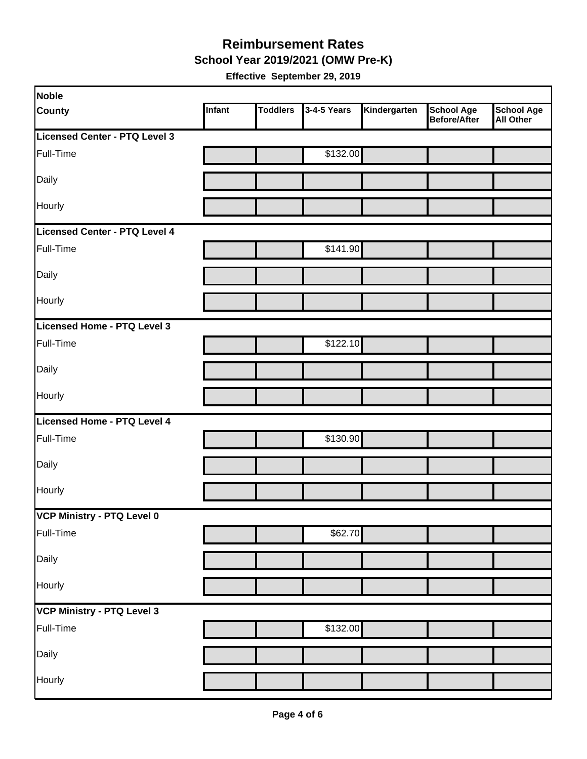#### **School Year 2019/2021 (OMW Pre-K) Reimbursement Rates**

| Noble                         |        |                 |             |              |                                   |                         |
|-------------------------------|--------|-----------------|-------------|--------------|-----------------------------------|-------------------------|
| <b>County</b>                 | Infant | <b>Toddlers</b> | 3-4-5 Years | Kindergarten | School Age<br><b>Before/After</b> | School Age<br>All Other |
| Licensed Center - PTQ Level 3 |        |                 |             |              |                                   |                         |
| Full-Time                     |        |                 | \$132.00    |              |                                   |                         |
| Daily                         |        |                 |             |              |                                   |                         |
| Hourly                        |        |                 |             |              |                                   |                         |
| Licensed Center - PTQ Level 4 |        |                 |             |              |                                   |                         |
| Full-Time                     |        |                 | \$141.90    |              |                                   |                         |
| Daily                         |        |                 |             |              |                                   |                         |
| Hourly                        |        |                 |             |              |                                   |                         |
| Licensed Home - PTQ Level 3   |        |                 |             |              |                                   |                         |
| Full-Time                     |        |                 | \$122.10    |              |                                   |                         |
| Daily                         |        |                 |             |              |                                   |                         |
| Hourly                        |        |                 |             |              |                                   |                         |
| Licensed Home - PTQ Level 4   |        |                 |             |              |                                   |                         |
| Full-Time                     |        |                 | \$130.90    |              |                                   |                         |
| Daily                         |        |                 |             |              |                                   |                         |
| Hourly                        |        |                 |             |              |                                   |                         |
| VCP Ministry - PTQ Level 0    |        |                 |             |              |                                   |                         |
| Full-Time                     |        |                 | \$62.70     |              |                                   |                         |
| Daily                         |        |                 |             |              |                                   |                         |
| Hourly                        |        |                 |             |              |                                   |                         |
| VCP Ministry - PTQ Level 3    |        |                 |             |              |                                   |                         |
| Full-Time                     |        |                 | \$132.00    |              |                                   |                         |
| Daily                         |        |                 |             |              |                                   |                         |
| Hourly                        |        |                 |             |              |                                   |                         |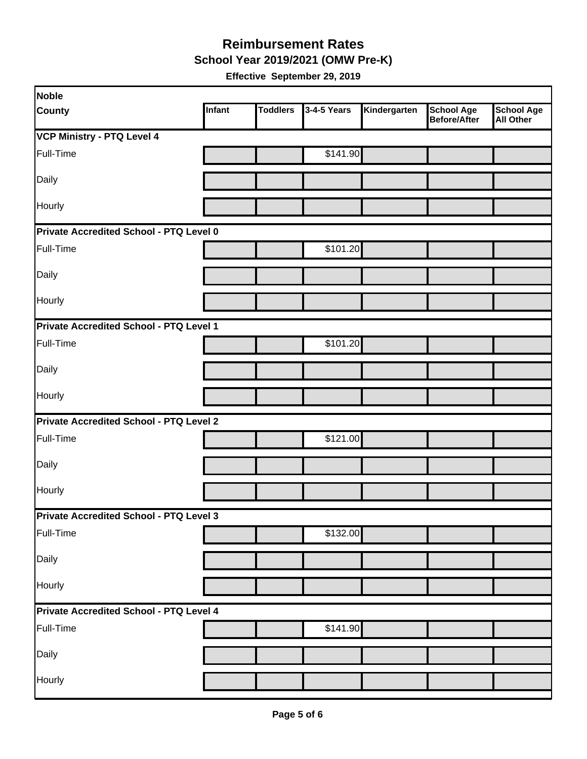**School Year 2019/2021 (OMW Pre-K)**

| Noble                                   |               |                 |             |              |                                          |                                       |
|-----------------------------------------|---------------|-----------------|-------------|--------------|------------------------------------------|---------------------------------------|
| <b>County</b>                           | <b>Infant</b> | <b>Toddlers</b> | 3-4-5 Years | Kindergarten | <b>School Age</b><br><b>Before/After</b> | <b>School Age</b><br><b>All Other</b> |
| <b>VCP Ministry - PTQ Level 4</b>       |               |                 |             |              |                                          |                                       |
| Full-Time                               |               |                 | \$141.90    |              |                                          |                                       |
| Daily                                   |               |                 |             |              |                                          |                                       |
| Hourly                                  |               |                 |             |              |                                          |                                       |
| Private Accredited School - PTQ Level 0 |               |                 |             |              |                                          |                                       |
| Full-Time                               |               |                 | \$101.20    |              |                                          |                                       |
| Daily                                   |               |                 |             |              |                                          |                                       |
| Hourly                                  |               |                 |             |              |                                          |                                       |
| Private Accredited School - PTQ Level 1 |               |                 |             |              |                                          |                                       |
| Full-Time                               |               |                 | \$101.20    |              |                                          |                                       |
| Daily                                   |               |                 |             |              |                                          |                                       |
| <b>Hourly</b>                           |               |                 |             |              |                                          |                                       |
| Private Accredited School - PTQ Level 2 |               |                 |             |              |                                          |                                       |
| Full-Time                               |               |                 | \$121.00    |              |                                          |                                       |
| Daily                                   |               |                 |             |              |                                          |                                       |
| Hourly                                  |               |                 |             |              |                                          |                                       |
| Private Accredited School - PTQ Level 3 |               |                 |             |              |                                          |                                       |
| Full-Time                               |               |                 | \$132.00    |              |                                          |                                       |
| Daily                                   |               |                 |             |              |                                          |                                       |
| Hourly                                  |               |                 |             |              |                                          |                                       |
| Private Accredited School - PTQ Level 4 |               |                 |             |              |                                          |                                       |
| Full-Time                               |               |                 | \$141.90    |              |                                          |                                       |
| Daily                                   |               |                 |             |              |                                          |                                       |
| Hourly                                  |               |                 |             |              |                                          |                                       |